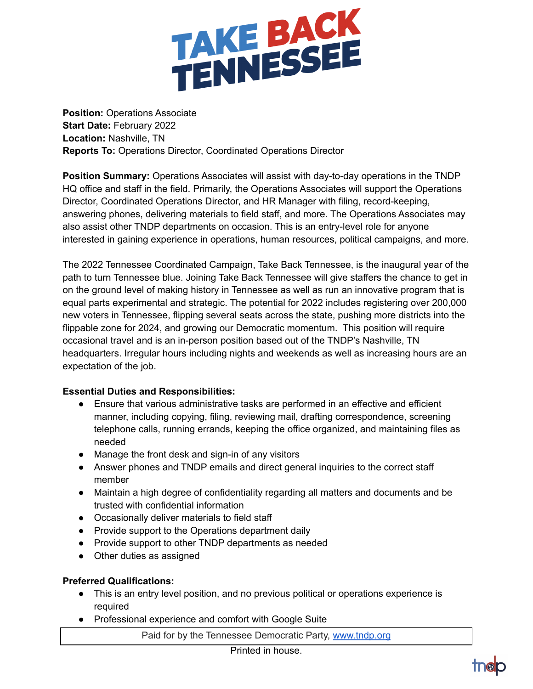

**Position:** Operations Associate **Start Date:** February 2022 **Location:** Nashville, TN **Reports To:** Operations Director, Coordinated Operations Director

**Position Summary:** Operations Associates will assist with day-to-day operations in the TNDP HQ office and staff in the field. Primarily, the Operations Associates will support the Operations Director, Coordinated Operations Director, and HR Manager with filing, record-keeping, answering phones, delivering materials to field staff, and more. The Operations Associates may also assist other TNDP departments on occasion. This is an entry-level role for anyone interested in gaining experience in operations, human resources, political campaigns, and more.

The 2022 Tennessee Coordinated Campaign, Take Back Tennessee, is the inaugural year of the path to turn Tennessee blue. Joining Take Back Tennessee will give staffers the chance to get in on the ground level of making history in Tennessee as well as run an innovative program that is equal parts experimental and strategic. The potential for 2022 includes registering over 200,000 new voters in Tennessee, flipping several seats across the state, pushing more districts into the flippable zone for 2024, and growing our Democratic momentum. This position will require occasional travel and is an in-person position based out of the TNDP's Nashville, TN headquarters. Irregular hours including nights and weekends as well as increasing hours are an expectation of the job.

## **Essential Duties and Responsibilities:**

- Ensure that various administrative tasks are performed in an effective and efficient manner, including copying, filing, reviewing mail, drafting correspondence, screening telephone calls, running errands, keeping the office organized, and maintaining files as needed
- Manage the front desk and sign-in of any visitors
- Answer phones and TNDP emails and direct general inquiries to the correct staff member
- Maintain a high degree of confidentiality regarding all matters and documents and be trusted with confidential information
- Occasionally deliver materials to field staff
- Provide support to the Operations department daily
- Provide support to other TNDP departments as needed
- Other duties as assigned

## **Preferred Qualifications:**

- This is an entry level position, and no previous political or operations experience is required
- Professional experience and comfort with Google Suite

Paid for by the Tennessee Democratic Party, [www.tndp.org](http://www.tndp.org/)

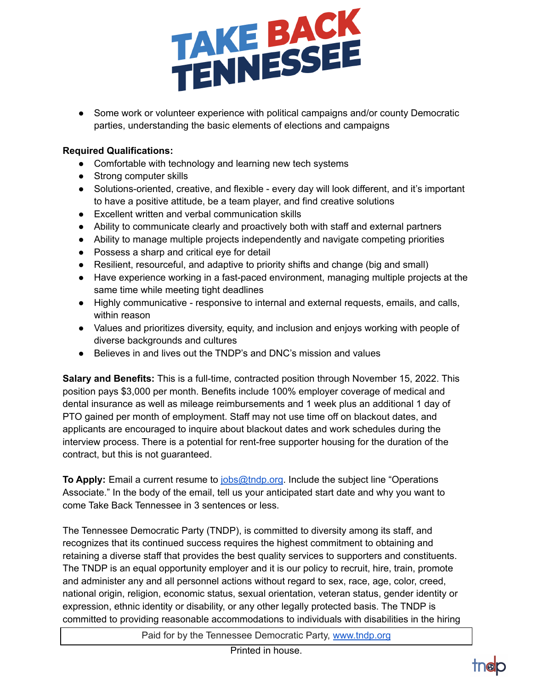

• Some work or volunteer experience with political campaigns and/or county Democratic parties, understanding the basic elements of elections and campaigns

## **Required Qualifications:**

- Comfortable with technology and learning new tech systems
- Strong computer skills
- Solutions-oriented, creative, and flexible every day will look different, and it's important to have a positive attitude, be a team player, and find creative solutions
- Excellent written and verbal communication skills
- Ability to communicate clearly and proactively both with staff and external partners
- Ability to manage multiple projects independently and navigate competing priorities
- Possess a sharp and critical eye for detail
- Resilient, resourceful, and adaptive to priority shifts and change (big and small)
- Have experience working in a fast-paced environment, managing multiple projects at the same time while meeting tight deadlines
- Highly communicative responsive to internal and external requests, emails, and calls, within reason
- Values and prioritizes diversity, equity, and inclusion and enjoys working with people of diverse backgrounds and cultures
- Believes in and lives out the TNDP's and DNC's mission and values

**Salary and Benefits:** This is a full-time, contracted position through November 15, 2022. This position pays \$3,000 per month. Benefits include 100% employer coverage of medical and dental insurance as well as mileage reimbursements and 1 week plus an additional 1 day of PTO gained per month of employment. Staff may not use time off on blackout dates, and applicants are encouraged to inquire about blackout dates and work schedules during the interview process. There is a potential for rent-free supporter housing for the duration of the contract, but this is not guaranteed.

**To Apply:** Email a current resume to [jobs@tndp.org](mailto:jobs@tndp.org). Include the subject line "Operations Associate." In the body of the email, tell us your anticipated start date and why you want to come Take Back Tennessee in 3 sentences or less.

The Tennessee Democratic Party (TNDP), is committed to diversity among its staff, and recognizes that its continued success requires the highest commitment to obtaining and retaining a diverse staff that provides the best quality services to supporters and constituents. The TNDP is an equal opportunity employer and it is our policy to recruit, hire, train, promote and administer any and all personnel actions without regard to sex, race, age, color, creed, national origin, religion, economic status, sexual orientation, veteran status, gender identity or expression, ethnic identity or disability, or any other legally protected basis. The TNDP is committed to providing reasonable accommodations to individuals with disabilities in the hiring